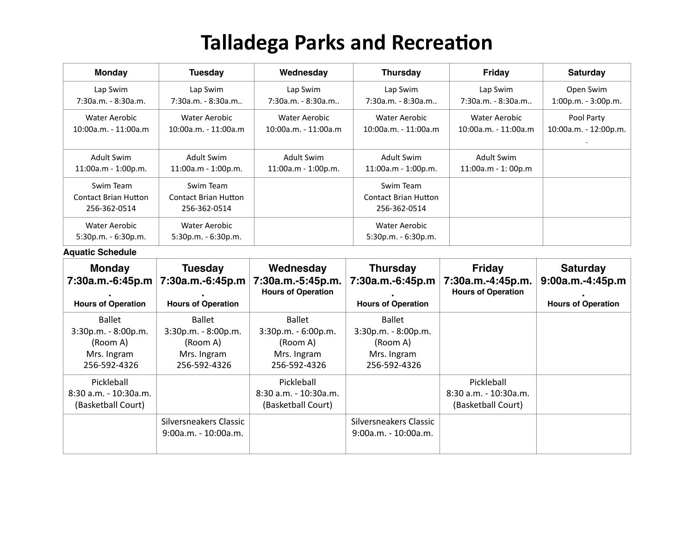## **Talladega Parks and Recreation**

| <b>Monday</b>                                            | <b>Tuesday</b>                                           | Wednesday             | <b>Thursday</b>                                   | <b>Friday</b>          | <b>Saturday</b>       |
|----------------------------------------------------------|----------------------------------------------------------|-----------------------|---------------------------------------------------|------------------------|-----------------------|
| Lap Swim                                                 | Lap Swim                                                 | Lap Swim              | Lap Swim                                          | Lap Swim               | Open Swim             |
| $7:30a.m. - 8:30a.m.$                                    | $7:30a.m. - 8:30a.m.$                                    | $7:30a.m. - 8:30a.m.$ | $7:30a.m. - 8:30a.m.$                             | $7:30a.m. - 8:30a.m.$  | 1:00p.m. - 3:00p.m.   |
| Water Aerobic                                            | Water Aerobic                                            | Water Aerobic         | Water Aerobic                                     | Water Aerobic          | Pool Party            |
| $10:00a.m. - 11:00a.m$                                   | $10:00a.m. - 11:00a.m$                                   | 10:00a.m. - 11:00a.m  | $10:00a.m. - 11:00a.m$                            | $10:00a.m. - 11:00a.m$ | 10:00a.m. - 12:00p.m. |
| <b>Adult Swim</b>                                        | Adult Swim                                               | Adult Swim            | Adult Swim                                        | Adult Swim             |                       |
| 11:00a.m - 1:00p.m.                                      | 11:00a.m - 1:00p.m.                                      | 11:00a.m - 1:00p.m.   | 11:00a.m - 1:00p.m.                               | 11:00a.m - 1:00p.m     |                       |
| Swim Team<br><b>Contact Brian Hutton</b><br>256-362-0514 | Swim Team<br><b>Contact Brian Hutton</b><br>256-362-0514 |                       | Swim Team<br>Contact Brian Hutton<br>256-362-0514 |                        |                       |
| Water Aerobic<br>$5:30p.m. - 6:30p.m.$                   | Water Aerobic<br>$5:30p.m. - 6:30p.m.$                   |                       | Water Aerobic<br>$5:30p.m. - 6:30p.m.$            |                        |                       |

**Aquatic Schedule** 

| <b>Monday</b><br>7:30a.m.-6:45p.m<br><b>Hours of Operation</b>                  | <b>Tuesday</b><br>7:30a.m.-6:45p.m<br><b>Hours of Operation</b>                 | Wednesday<br>7:30a.m.-5:45p.m.<br><b>Hours of Operation</b>                       | <b>Thursday</b><br>7:30a.m.-6:45p.m<br><b>Hours of Operation</b>         | <b>Friday</b><br>7:30a.m.-4:45p.m.<br><b>Hours of Operation</b> | <b>Saturday</b><br>$9:00a.m.-4:45p.m$<br><b>Hours of Operation</b> |
|---------------------------------------------------------------------------------|---------------------------------------------------------------------------------|-----------------------------------------------------------------------------------|--------------------------------------------------------------------------|-----------------------------------------------------------------|--------------------------------------------------------------------|
| <b>Ballet</b><br>3:30p.m. - 8:00p.m.<br>(Room A)<br>Mrs. Ingram<br>256-592-4326 | <b>Ballet</b><br>3:30p.m. - 8:00p.m.<br>(Room A)<br>Mrs. Ingram<br>256-592-4326 | <b>Ballet</b><br>$3:30p.m. - 6:00p.m.$<br>(Room A)<br>Mrs. Ingram<br>256-592-4326 | Ballet<br>3:30p.m. - 8:00p.m.<br>(Room A)<br>Mrs. Ingram<br>256-592-4326 |                                                                 |                                                                    |
| Pickleball<br>8:30 a.m. - 10:30a.m.<br>(Basketball Court)                       |                                                                                 | Pickleball<br>$8:30$ a.m. - 10:30a.m.<br>(Basketball Court)                       |                                                                          | Pickleball<br>$8:30$ a.m. - 10:30a.m.<br>(Basketball Court)     |                                                                    |
|                                                                                 | Silversneakers Classic<br>9:00a.m. - 10:00a.m.                                  |                                                                                   | Silversneakers Classic<br>9:00a.m. - 10:00a.m.                           |                                                                 |                                                                    |